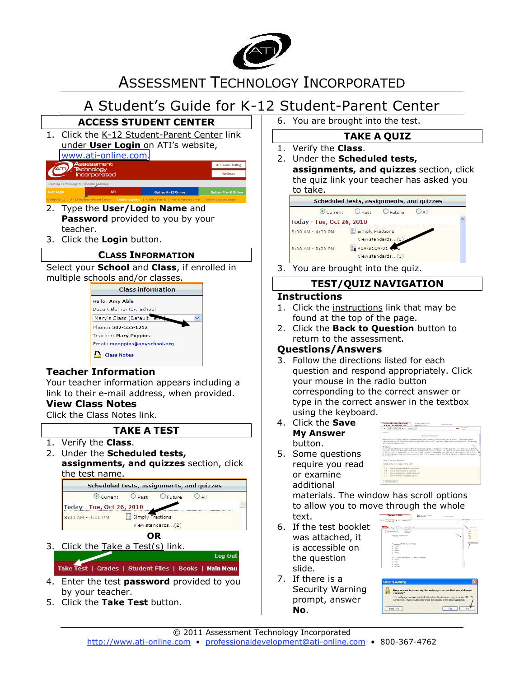

# ASSESSMENT TECHNOLOGY INCORPORATED

# A Student's Guide for K-12 Student-Parent Center



- 2. Type the **User/Login Name** and **Password** provided to you by your teacher.
- 3. Click the **Login** button.

### **CLASS INFORMATION**

Select your **School** and **Class**, if enrolled in multiple schools and/or classes.



## **Teacher Information**

Your teacher information appears including a link to their e-mail address, when provided.

## **View Class Notes**

Click the Class Notes link.

## **TAKE A TEST**

- 1. Verify the **Class**.
- 2. Under the **Scheduled tests, assignments, and quizzes** section, click the test name.



## 3. Click the Take a Test(s) link.

Log Out Take Test | Grades | Student Files | Books | Main Menu

- 4. Enter the test **password** provided to you by your teacher.
- 5. Click the **Take Test** button.

6. You are brought into the test.

## **TAKE A QUIZ**

- 1. Verify the **Class**.
- 2. Under the **Scheduled tests, assignments, and quizzes** section, click the quiz link your teacher has asked you to take.



3. You are brought into the quiz.

## **TEST/QUIZ NAVIGATION**

#### **Instructions**

- 1. Click the instructions link that may be found at the top of the page.
- 2. Click the **Back to Question** button to return to the assessment.

## **Questions/Answers**

- 3. Follow the directions listed for each question and respond appropriately. Click your mouse in the radio button corresponding to the correct answer or type in the correct answer in the textbox using the keyboard.
- 4. Click the **Save My Answer** button.

5. Some questions require you read

|                   | → ■ □ ① 田 田 日 ▶ → Doone 2 W                                                                                                                                                                                                                                                                                                                                                                                                                                                                  |                     | <b>NETURNER</b><br>1,237 |
|-------------------|----------------------------------------------------------------------------------------------------------------------------------------------------------------------------------------------------------------------------------------------------------------------------------------------------------------------------------------------------------------------------------------------------------------------------------------------------------------------------------------------|---------------------|--------------------------|
| <b>Business P</b> |                                                                                                                                                                                                                                                                                                                                                                                                                                                                                              |                     |                          |
|                   |                                                                                                                                                                                                                                                                                                                                                                                                                                                                                              | "Container Garders" |                          |
|                   | Many people live in approveds, condominiums, togo homes, patio homes, and ducknes. This means that<br>many people do not have large vards or even any vards at all. How can these people grow plants? The arrayer<br>In his rearriges by coordinateurs)                                                                                                                                                                                                                                      |                     |                          |
|                   | Container genderic are any plants that are planted in pots or boxes or even tin buckets. The only rule is that<br>you must make sure that the containers are able to drain well. If you buy a pot, it usually corries with a hole<br>in the hottom. If you decide to use a tip bucket or even an old coffee can, you must noise holes in the bottom.<br>of the container so that the water can drain out. If the water doesn't drain, the plant can't absorb the oxygen<br>Report Made would |                     |                          |
|                   | from "Container Gardens"                                                                                                                                                                                                                                                                                                                                                                                                                                                                     |                     |                          |
|                   | What is the main Mea of this test?                                                                                                                                                                                                                                                                                                                                                                                                                                                           |                     |                          |

or examine additional materials. The window has scroll options

- text. 6. If the test booklet
- was attached, it is accessible on the question slide.
- to allow you to move through the whole<br>text.  $\begin{array}{c} 1.44 \hbox{mm} \\ \hline 0.44 \hbox{mm} \\ 0.44 \hbox{mm} \\ 0.44 \hbox{mm} \\ 0.44 \hbox{mm} \\ 0.44 \hbox{mm} \\ \end{array}$
- 7. If there is a Security Warning prompt, answer **No**.